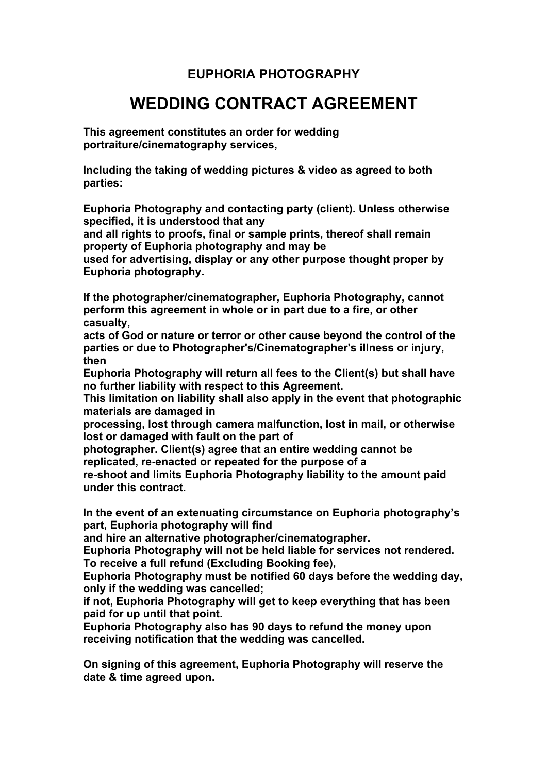## **EUPHORIA PHOTOGRAPHY**

## **WEDDING CONTRACT AGREEMENT**

**This agreement constitutes an order for wedding portraiture/cinematography services,**

**Including the taking of wedding pictures & video as agreed to both parties:**

**Euphoria Photography and contacting party (client). Unless otherwise specified, it is understood that any**

**and all rights to proofs, final or sample prints, thereof shall remain property of Euphoria photography and may be**

**used for advertising, display or any other purpose thought proper by Euphoria photography.**

**If the photographer/cinematographer, Euphoria Photography, cannot perform this agreement in whole or in part due to a fire, or other casualty,**

**acts of God or nature or terror or other cause beyond the control of the parties or due to Photographer's/Cinematographer's illness or injury, then**

**Euphoria Photography will return all fees to the Client(s) but shall have no further liability with respect to this Agreement.**

**This limitation on liability shall also apply in the event that photographic materials are damaged in**

**processing, lost through camera malfunction, lost in mail, or otherwise lost or damaged with fault on the part of**

**photographer. Client(s) agree that an entire wedding cannot be replicated, re-enacted or repeated for the purpose of a**

**re-shoot and limits Euphoria Photography liability to the amount paid under this contract.**

**In the event of an extenuating circumstance on Euphoria photography's part, Euphoria photography will find**

**and hire an alternative photographer/cinematographer.**

**Euphoria Photography will not be held liable for services not rendered. To receive a full refund (Excluding Booking fee),**

**Euphoria Photography must be notified 60 days before the wedding day, only if the wedding was cancelled;**

**if not, Euphoria Photography will get to keep everything that has been paid for up until that point.**

**Euphoria Photography also has 90 days to refund the money upon receiving notification that the wedding was cancelled.**

**On signing of this agreement, Euphoria Photography will reserve the date & time agreed upon.**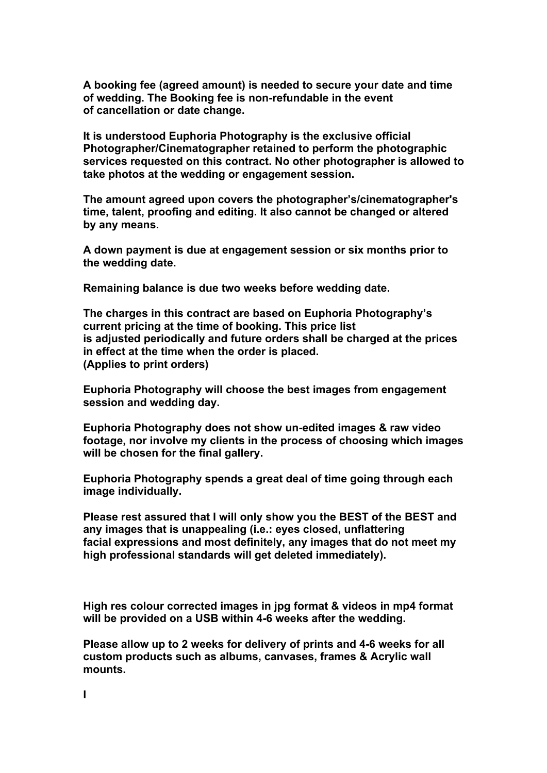**A booking fee (agreed amount) is needed to secure your date and time of wedding. The Booking fee is non-refundable in the event of cancellation or date change.**

**It is understood Euphoria Photography is the exclusive official Photographer/Cinematographer retained to perform the photographic services requested on this contract. No other photographer is allowed to take photos at the wedding or engagement session.**

**The amount agreed upon covers the photographer's/cinematographer's time, talent, proofing and editing. It also cannot be changed or altered by any means.**

**A down payment is due at engagement session or six months prior to the wedding date.**

**Remaining balance is due two weeks before wedding date.**

**The charges in this contract are based on Euphoria Photography's current pricing at the time of booking. This price list is adjusted periodically and future orders shall be charged at the prices in effect at the time when the order is placed. (Applies to print orders)**

**Euphoria Photography will choose the best images from engagement session and wedding day.**

**Euphoria Photography does not show un-edited images & raw video footage, nor involve my clients in the process of choosing which images will be chosen for the final gallery.**

**Euphoria Photography spends a great deal of time going through each image individually.**

**Please rest assured that I will only show you the BEST of the BEST and any images that is unappealing (i.e.: eyes closed, unflattering facial expressions and most definitely, any images that do not meet my high professional standards will get deleted immediately).**

**High res colour corrected images in jpg format & videos in mp4 format will be provided on a USB within 4-6 weeks after the wedding.**

**Please allow up to 2 weeks for delivery of prints and 4-6 weeks for all custom products such as albums, canvases, frames & Acrylic wall mounts.**